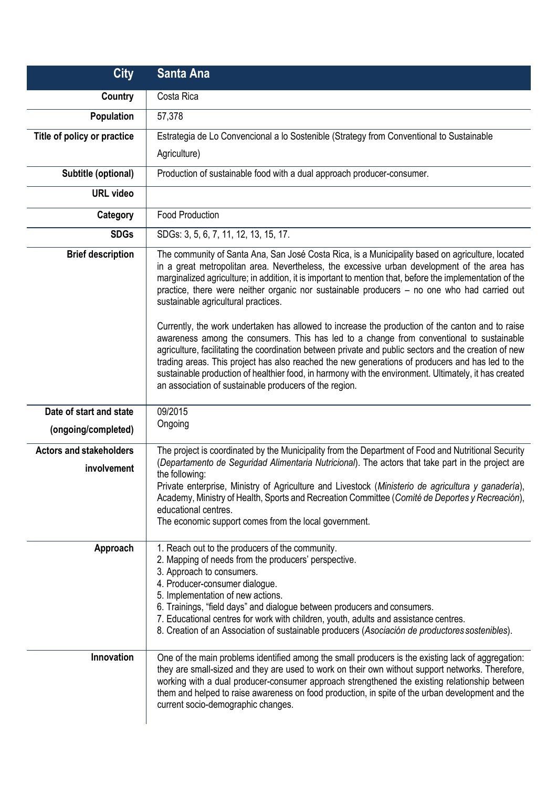| <b>City</b>                                    | <b>Santa Ana</b>                                                                                                                                                                                                                                                                                                                                                                                                                                                                                                                                                                                                                                                                                                                                                                                                                                                                                                                                                                                                                  |
|------------------------------------------------|-----------------------------------------------------------------------------------------------------------------------------------------------------------------------------------------------------------------------------------------------------------------------------------------------------------------------------------------------------------------------------------------------------------------------------------------------------------------------------------------------------------------------------------------------------------------------------------------------------------------------------------------------------------------------------------------------------------------------------------------------------------------------------------------------------------------------------------------------------------------------------------------------------------------------------------------------------------------------------------------------------------------------------------|
| <b>Country</b>                                 | Costa Rica                                                                                                                                                                                                                                                                                                                                                                                                                                                                                                                                                                                                                                                                                                                                                                                                                                                                                                                                                                                                                        |
| Population                                     | 57,378                                                                                                                                                                                                                                                                                                                                                                                                                                                                                                                                                                                                                                                                                                                                                                                                                                                                                                                                                                                                                            |
| Title of policy or practice                    | Estrategia de Lo Convencional a lo Sostenible (Strategy from Conventional to Sustainable                                                                                                                                                                                                                                                                                                                                                                                                                                                                                                                                                                                                                                                                                                                                                                                                                                                                                                                                          |
|                                                | Agriculture)                                                                                                                                                                                                                                                                                                                                                                                                                                                                                                                                                                                                                                                                                                                                                                                                                                                                                                                                                                                                                      |
| Subtitle (optional)                            | Production of sustainable food with a dual approach producer-consumer.                                                                                                                                                                                                                                                                                                                                                                                                                                                                                                                                                                                                                                                                                                                                                                                                                                                                                                                                                            |
| <b>URL video</b>                               |                                                                                                                                                                                                                                                                                                                                                                                                                                                                                                                                                                                                                                                                                                                                                                                                                                                                                                                                                                                                                                   |
| Category                                       | Food Production                                                                                                                                                                                                                                                                                                                                                                                                                                                                                                                                                                                                                                                                                                                                                                                                                                                                                                                                                                                                                   |
| <b>SDGs</b>                                    | SDGs: 3, 5, 6, 7, 11, 12, 13, 15, 17.                                                                                                                                                                                                                                                                                                                                                                                                                                                                                                                                                                                                                                                                                                                                                                                                                                                                                                                                                                                             |
| <b>Brief description</b>                       | The community of Santa Ana, San José Costa Rica, is a Municipality based on agriculture, located<br>in a great metropolitan area. Nevertheless, the excessive urban development of the area has<br>marginalized agriculture; in addition, it is important to mention that, before the implementation of the<br>practice, there were neither organic nor sustainable producers - no one who had carried out<br>sustainable agricultural practices.<br>Currently, the work undertaken has allowed to increase the production of the canton and to raise<br>awareness among the consumers. This has led to a change from conventional to sustainable<br>agriculture, facilitating the coordination between private and public sectors and the creation of new<br>trading areas. This project has also reached the new generations of producers and has led to the<br>sustainable production of healthier food, in harmony with the environment. Ultimately, it has created<br>an association of sustainable producers of the region. |
| Date of start and state<br>(ongoing/completed) | 09/2015<br>Ongoing                                                                                                                                                                                                                                                                                                                                                                                                                                                                                                                                                                                                                                                                                                                                                                                                                                                                                                                                                                                                                |
| <b>Actors and stakeholders</b><br>involvement  | The project is coordinated by the Municipality from the Department of Food and Nutritional Security<br>(Departamento de Seguridad Alimentaria Nutricional). The actors that take part in the project are<br>the following:<br>Private enterprise, Ministry of Agriculture and Livestock (Ministerio de agricultura y ganadería),<br>Academy, Ministry of Health, Sports and Recreation Committee (Comité de Deportes y Recreación),<br>educational centres.<br>The economic support comes from the local government.                                                                                                                                                                                                                                                                                                                                                                                                                                                                                                              |
| Approach                                       | 1. Reach out to the producers of the community.<br>2. Mapping of needs from the producers' perspective.<br>3. Approach to consumers.<br>4. Producer-consumer dialogue.<br>5. Implementation of new actions.<br>6. Trainings, "field days" and dialogue between producers and consumers.<br>7. Educational centres for work with children, youth, adults and assistance centres.<br>8. Creation of an Association of sustainable producers (Asociación de productores sostenibles).                                                                                                                                                                                                                                                                                                                                                                                                                                                                                                                                                |
| Innovation                                     | One of the main problems identified among the small producers is the existing lack of aggregation:<br>they are small-sized and they are used to work on their own without support networks. Therefore,<br>working with a dual producer-consumer approach strengthened the existing relationship between<br>them and helped to raise awareness on food production, in spite of the urban development and the<br>current socio-demographic changes.                                                                                                                                                                                                                                                                                                                                                                                                                                                                                                                                                                                 |